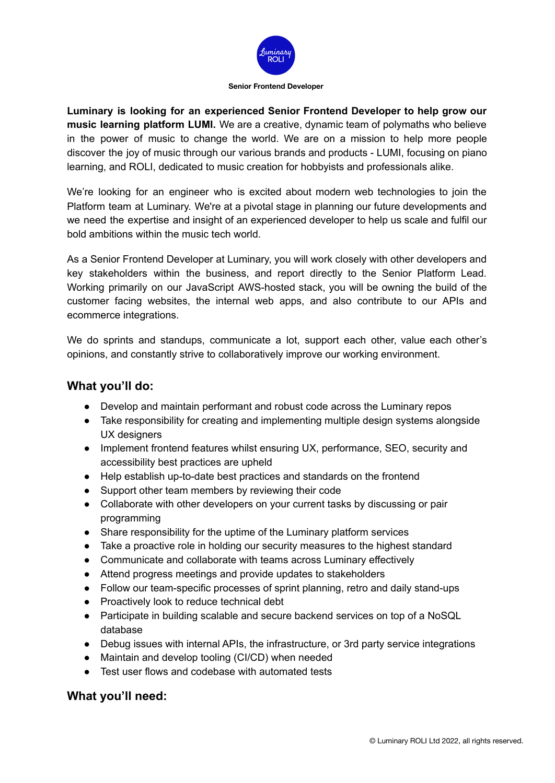

**Senior Frontend Developer**

**Luminary is looking for an experienced Senior Frontend Developer to help grow our music learning platform LUMI.** We are a creative, dynamic team of polymaths who believe in the power of music to change the world. We are on a mission to help more people discover the joy of music through our various brands and products - LUMI, focusing on piano learning, and ROLI, dedicated to music creation for hobbyists and professionals alike.

We're looking for an engineer who is excited about modern web technologies to join the Platform team at Luminary. We're at a pivotal stage in planning our future developments and we need the expertise and insight of an experienced developer to help us scale and fulfil our bold ambitions within the music tech world.

As a Senior Frontend Developer at Luminary, you will work closely with other developers and key stakeholders within the business, and report directly to the Senior Platform Lead. Working primarily on our JavaScript AWS-hosted stack, you will be owning the build of the customer facing websites, the internal web apps, and also contribute to our APIs and ecommerce integrations.

We do sprints and standups, communicate a lot, support each other, value each other's opinions, and constantly strive to collaboratively improve our working environment.

# **What you'll do:**

- Develop and maintain performant and robust code across the Luminary repos
- Take responsibility for creating and implementing multiple design systems alongside UX designers
- Implement frontend features whilst ensuring UX, performance, SEO, security and accessibility best practices are upheld
- Help establish up-to-date best practices and standards on the frontend
- Support other team members by reviewing their code
- Collaborate with other developers on your current tasks by discussing or pair programming
- Share responsibility for the uptime of the Luminary platform services
- Take a proactive role in holding our security measures to the highest standard
- Communicate and collaborate with teams across Luminary effectively
- Attend progress meetings and provide updates to stakeholders
- Follow our team-specific processes of sprint planning, retro and daily stand-ups
- Proactively look to reduce technical debt
- Participate in building scalable and secure backend services on top of a NoSQL database
- Debug issues with internal APIs, the infrastructure, or 3rd party service integrations
- Maintain and develop tooling (CI/CD) when needed
- Test user flows and codebase with automated tests

## **What you'll need:**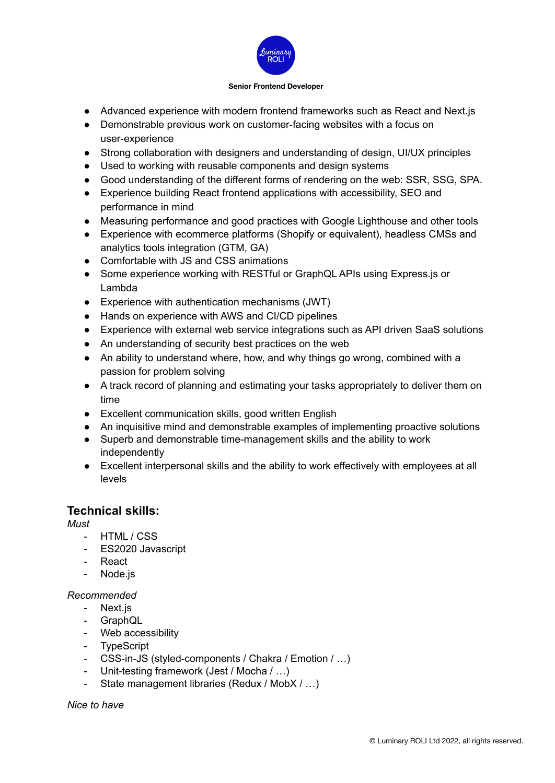

#### **Senior Frontend Developer**

- Advanced experience with modern frontend frameworks such as React and Next.js
- Demonstrable previous work on customer-facing websites with a focus on user-experience
- Strong collaboration with designers and understanding of design, UI/UX principles
- Used to working with reusable components and design systems
- Good understanding of the different forms of rendering on the web: SSR, SSG, SPA.
- Experience building React frontend applications with accessibility, SEO and performance in mind
- Measuring performance and good practices with Google Lighthouse and other tools
- Experience with ecommerce platforms (Shopify or equivalent), headless CMSs and analytics tools integration (GTM, GA)
- Comfortable with JS and CSS animations
- Some experience working with RESTful or GraphQL APIs using Express.js or Lambda
- Experience with authentication mechanisms (JWT)
- Hands on experience with AWS and CI/CD pipelines
- Experience with external web service integrations such as API driven SaaS solutions
- An understanding of security best practices on the web
- An ability to understand where, how, and why things go wrong, combined with a passion for problem solving
- A track record of planning and estimating your tasks appropriately to deliver them on time
- Excellent communication skills, good written English
- An inquisitive mind and demonstrable examples of implementing proactive solutions
- Superb and demonstrable time-management skills and the ability to work independently
- Excellent interpersonal skills and the ability to work effectively with employees at all levels

## **Technical skills:**

*Must*

- HTML / CSS
- ES2020 Javascript
- React
- Node.js

### *Recommended*

- Next.js
- GraphQL
- Web accessibility
- TypeScript
- CSS-in-JS (styled-components / Chakra / Emotion / …)
- Unit-testing framework (Jest / Mocha / …)
- State management libraries (Redux / MobX / …)

### *Nice to have*